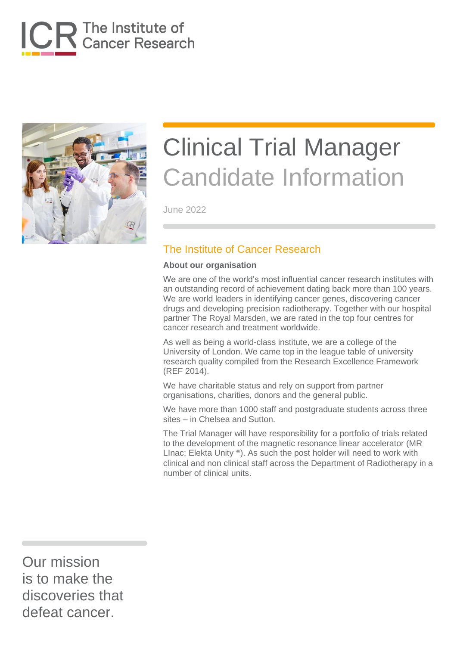



June 2022

### The Institute of Cancer Research

#### **About our organisation**

We are one of the world's most influential cancer research institutes with an outstanding record of achievement dating back more than 100 years. We are world leaders in identifying cancer genes, discovering cancer drugs and developing precision radiotherapy. Together with our hospital partner The Royal Marsden, we are rated in the top four centres for cancer research and treatment worldwide.

As well as being a world-class institute, we are a college of the University of London. We came top in the league table of university research quality compiled from the Research Excellence Framework (REF 2014).

We have charitable status and rely on support from partner organisations, charities, donors and the general public.

We have more than 1000 staff and postgraduate students across three sites – in Chelsea and Sutton.

The Trial Manager will have responsibility for a portfolio of trials related to the development of the magnetic resonance linear accelerator (MR LInac; Elekta Unity ®). As such the post holder will need to work with clinical and non clinical staff across the Department of Radiotherapy in a number of clinical units.

Our mission is to make the discoveries that defeat cancer.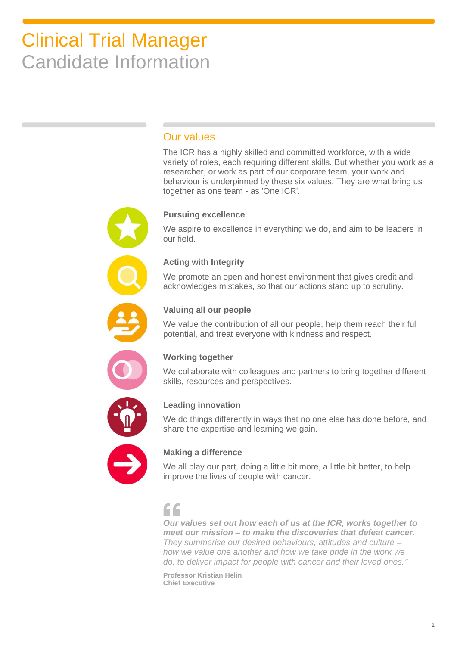### Our values

The ICR has a highly skilled and committed workforce, with a wide variety of roles, each requiring different skills. But whether you work as a researcher, or work as part of our corporate team, your work and behaviour is underpinned by these six values. They are what bring us together as one team - as 'One ICR'.

#### **Pursuing excellence**

We aspire to excellence in everything we do, and aim to be leaders in our field.

#### **Acting with Integrity**

We promote an open and honest environment that gives credit and acknowledges mistakes, so that our actions stand up to scrutiny.



#### **Valuing all our people**

We value the contribution of all our people, help them reach their full potential, and treat everyone with kindness and respect.



#### **Working together**

We collaborate with colleagues and partners to bring together different skills, resources and perspectives.



#### **Leading innovation**

We do things differently in ways that no one else has done before, and share the expertise and learning we gain.



### **Making a difference**

We all play our part, doing a little bit more, a little bit better, to help improve the lives of people with cancer.

### $\epsilon$

*Our values set out how each of us at the ICR, works together to meet our mission – to make the discoveries that defeat cancer. They summarise our desired behaviours, attitudes and culture – how we value one another and how we take pride in the work we do, to deliver impact for people with cancer and their loved ones."*

**Professor Kristian Helin Chief Executive**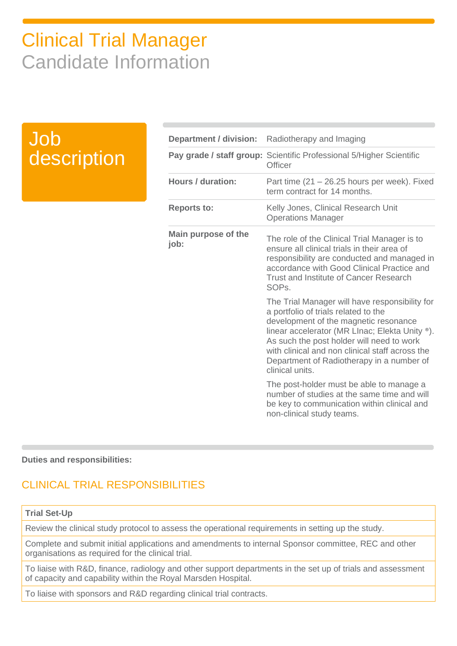### Job description

| Department / division:             | Radiotherapy and Imaging                                                                                                                                                                                                                                                                                                                          |
|------------------------------------|---------------------------------------------------------------------------------------------------------------------------------------------------------------------------------------------------------------------------------------------------------------------------------------------------------------------------------------------------|
|                                    | Pay grade / staff group: Scientific Professional 5/Higher Scientific<br>Officer                                                                                                                                                                                                                                                                   |
| <b>Hours / duration:</b>           | Part time $(21 - 26.25$ hours per week). Fixed<br>term contract for 14 months.                                                                                                                                                                                                                                                                    |
| <b>Reports to:</b>                 | Kelly Jones, Clinical Research Unit<br><b>Operations Manager</b>                                                                                                                                                                                                                                                                                  |
| <b>Main purpose of the</b><br>job: | The role of the Clinical Trial Manager is to<br>ensure all clinical trials in their area of<br>responsibility are conducted and managed in<br>accordance with Good Clinical Practice and<br><b>Trust and Institute of Cancer Research</b><br>SOP <sub>s</sub> .                                                                                   |
|                                    | The Trial Manager will have responsibility for<br>a portfolio of trials related to the<br>development of the magnetic resonance<br>linear accelerator (MR LInac; Elekta Unity ®).<br>As such the post holder will need to work<br>with clinical and non clinical staff across the<br>Department of Radiotherapy in a number of<br>clinical units. |
|                                    | The post-holder must be able to manage a<br>number of studies at the same time and will<br>be key to communication within clinical and<br>non-clinical study teams.                                                                                                                                                                               |

#### **Duties and responsibilities:**

### CLINICAL TRIAL RESPONSIBILITIES

#### **Trial Set-Up**

Review the clinical study protocol to assess the operational requirements in setting up the study.

Complete and submit initial applications and amendments to internal Sponsor committee, REC and other organisations as required for the clinical trial.

To liaise with R&D, finance, radiology and other support departments in the set up of trials and assessment of capacity and capability within the Royal Marsden Hospital.

To liaise with sponsors and R&D regarding clinical trial contracts.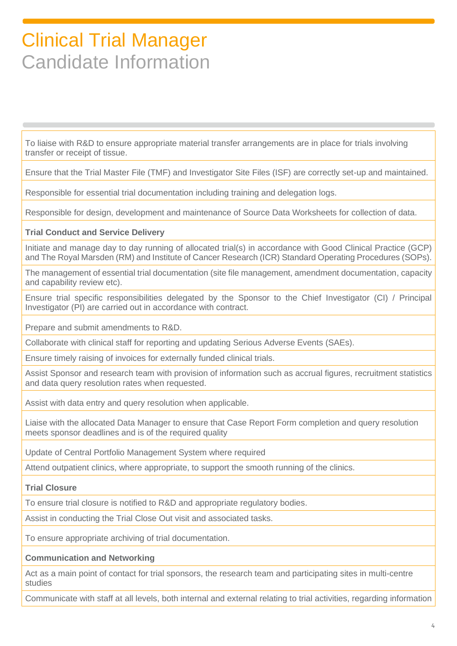To liaise with R&D to ensure appropriate material transfer arrangements are in place for trials involving transfer or receipt of tissue.

Ensure that the Trial Master File (TMF) and Investigator Site Files (ISF) are correctly set-up and maintained.

Responsible for essential trial documentation including training and delegation logs.

Responsible for design, development and maintenance of Source Data Worksheets for collection of data.

#### **Trial Conduct and Service Delivery**

Initiate and manage day to day running of allocated trial(s) in accordance with Good Clinical Practice (GCP) and The Royal Marsden (RM) and Institute of Cancer Research (ICR) Standard Operating Procedures (SOPs).

The management of essential trial documentation (site file management, amendment documentation, capacity and capability review etc).

Ensure trial specific responsibilities delegated by the Sponsor to the Chief Investigator (CI) / Principal Investigator (PI) are carried out in accordance with contract.

Prepare and submit amendments to R&D.

Collaborate with clinical staff for reporting and updating Serious Adverse Events (SAEs).

Ensure timely raising of invoices for externally funded clinical trials.

Assist Sponsor and research team with provision of information such as accrual figures, recruitment statistics and data query resolution rates when requested.

Assist with data entry and query resolution when applicable.

Liaise with the allocated Data Manager to ensure that Case Report Form completion and query resolution meets sponsor deadlines and is of the required quality

Update of Central Portfolio Management System where required

Attend outpatient clinics, where appropriate, to support the smooth running of the clinics.

#### **Trial Closure**

To ensure trial closure is notified to R&D and appropriate regulatory bodies.

Assist in conducting the Trial Close Out visit and associated tasks.

To ensure appropriate archiving of trial documentation.

#### **Communication and Networking**

Act as a main point of contact for trial sponsors, the research team and participating sites in multi-centre studies

Communicate with staff at all levels, both internal and external relating to trial activities, regarding information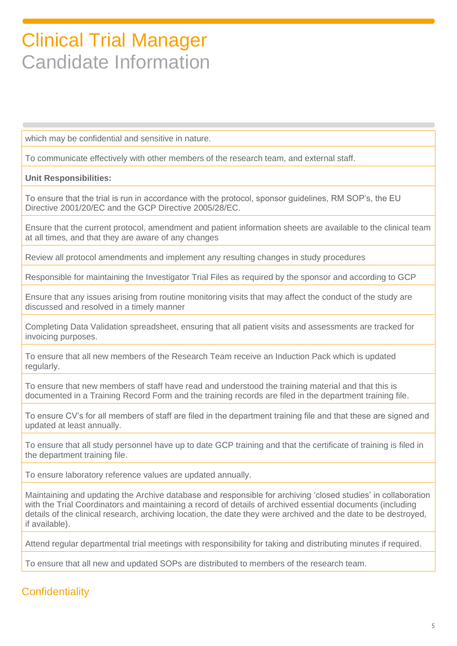which may be confidential and sensitive in nature.

To communicate effectively with other members of the research team, and external staff.

#### **Unit Responsibilities:**

To ensure that the trial is run in accordance with the protocol, sponsor guidelines, RM SOP's, the EU Directive 2001/20/EC and the GCP Directive 2005/28/EC.

Ensure that the current protocol, amendment and patient information sheets are available to the clinical team at all times, and that they are aware of any changes

Review all protocol amendments and implement any resulting changes in study procedures

Responsible for maintaining the Investigator Trial Files as required by the sponsor and according to GCP

Ensure that any issues arising from routine monitoring visits that may affect the conduct of the study are discussed and resolved in a timely manner

Completing Data Validation spreadsheet, ensuring that all patient visits and assessments are tracked for invoicing purposes.

To ensure that all new members of the Research Team receive an Induction Pack which is updated regularly.

To ensure that new members of staff have read and understood the training material and that this is documented in a Training Record Form and the training records are filed in the department training file.

To ensure CV's for all members of staff are filed in the department training file and that these are signed and updated at least annually.

To ensure that all study personnel have up to date GCP training and that the certificate of training is filed in the department training file.

To ensure laboratory reference values are updated annually.

Maintaining and updating the Archive database and responsible for archiving 'closed studies' in collaboration with the Trial Coordinators and maintaining a record of details of archived essential documents (including details of the clinical research, archiving location, the date they were archived and the date to be destroyed, if available).

Attend regular departmental trial meetings with responsibility for taking and distributing minutes if required.

To ensure that all new and updated SOPs are distributed to members of the research team.

### **Confidentiality**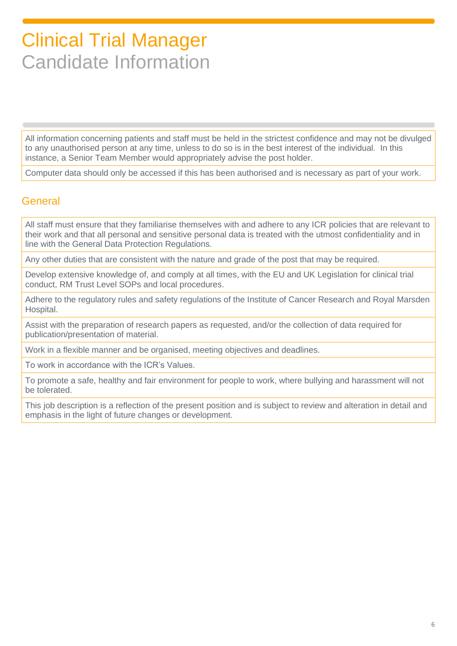All information concerning patients and staff must be held in the strictest confidence and may not be divulged to any unauthorised person at any time, unless to do so is in the best interest of the individual. In this instance, a Senior Team Member would appropriately advise the post holder.

Computer data should only be accessed if this has been authorised and is necessary as part of your work.

### General

All staff must ensure that they familiarise themselves with and adhere to any ICR policies that are relevant to their work and that all personal and sensitive personal data is treated with the utmost confidentiality and in line with the General Data Protection Regulations.

Any other duties that are consistent with the nature and grade of the post that may be required.

Develop extensive knowledge of, and comply at all times, with the EU and UK Legislation for clinical trial conduct, RM Trust Level SOPs and local procedures.

Adhere to the regulatory rules and safety regulations of the Institute of Cancer Research and Royal Marsden Hospital.

Assist with the preparation of research papers as requested, and/or the collection of data required for publication/presentation of material.

Work in a flexible manner and be organised, meeting objectives and deadlines.

To work in accordance with the ICR's Values.

To promote a safe, healthy and fair environment for people to work, where bullying and harassment will not be tolerated.

This job description is a reflection of the present position and is subject to review and alteration in detail and emphasis in the light of future changes or development.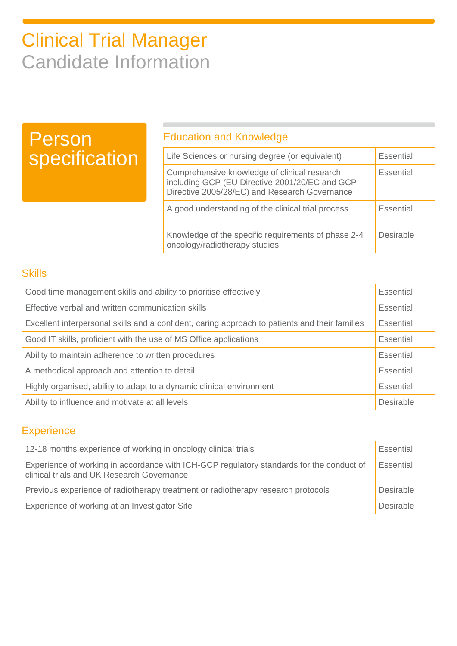## Person specification

### Education and Knowledge

| Life Sciences or nursing degree (or equivalent)                                                                                                 | <b>Essential</b> |
|-------------------------------------------------------------------------------------------------------------------------------------------------|------------------|
| Comprehensive knowledge of clinical research<br>including GCP (EU Directive 2001/20/EC and GCP<br>Directive 2005/28/EC) and Research Governance | <b>Essential</b> |
| A good understanding of the clinical trial process                                                                                              | <b>Essential</b> |
| Knowledge of the specific requirements of phase 2-4<br>oncology/radiotherapy studies                                                            | Desirable        |

### **Skills**

| Good time management skills and ability to prioritise effectively                              |  |
|------------------------------------------------------------------------------------------------|--|
| Effective verbal and written communication skills                                              |  |
| Excellent interpersonal skills and a confident, caring approach to patients and their families |  |
| Good IT skills, proficient with the use of MS Office applications                              |  |
| Ability to maintain adherence to written procedures                                            |  |
| A methodical approach and attention to detail                                                  |  |
| Highly organised, ability to adapt to a dynamic clinical environment                           |  |
| Ability to influence and motivate at all levels                                                |  |

### **Experience**

| 12-18 months experience of working in oncology clinical trials                                                                         |           |
|----------------------------------------------------------------------------------------------------------------------------------------|-----------|
| Experience of working in accordance with ICH-GCP regulatory standards for the conduct of<br>clinical trials and UK Research Governance |           |
| Previous experience of radiotherapy treatment or radiotherapy research protocols                                                       | Desirable |
| Experience of working at an Investigator Site                                                                                          |           |